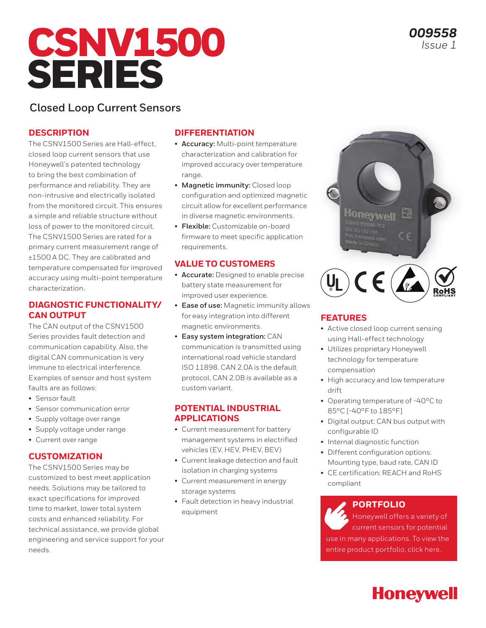# CSNV1500 SERIES

*009558 Issue 1*

## **Closed Loop Current Sensors**

#### **DESCRIPTION**

The CSNV1500 Series are Hall-effect, closed loop current sensors that use Honeywell's patented technology to bring the best combination of performance and reliability. They are non-intrusive and electrically isolated from the monitored circuit. This ensures a simple and reliable structure without loss of power to the monitored circuit. The CSNV1500 Series are rated for a primary current measurement range of ±1500 A DC. They are calibrated and temperature compensated for improved accuracy using multi-point temperature characterization.

#### **DIAGNOSTIC FUNCTIONALITY/ CAN OUTPUT**

The CAN output of the CSNV1500 Series provides fault detection and communication capability. Also, the digital CAN communication is very immune to electrical interference. Examples of sensor and host system faults are as follows:

- Sensor fault
- Sensor communication error
- Supply voltage over range
- Supply voltage under range
- Current over range

#### **CUSTOMIZATION**

The CSNV1500 Series may be customized to best meet application needs. Solutions may be tailored to exact specifications for improved time to market, lower total system costs and enhanced reliability. For technical assistance, we provide global engineering and service support for your needs.

#### **DIFFERENTIATION**

- **Accuracy:** Multi-point temperature characterization and calibration for improved accuracy over temperature range.
- **Magnetic immunity:** Closed loop configuration and optimized magnetic circuit allow for excellent performance in diverse magnetic environments.
- **Flexible:** Customizable on-board firmware to meet specific application requirements.

#### **VALUE TO CUSTOMERS**

- **Accurate:** Designed to enable precise battery state measurement for improved user experience.
- **Ease of use:** Magnetic immunity allows for easy integration into different magnetic environments.
- **Easy system integration:** CAN communication is transmitted using international road vehicle standard ISO 11898. CAN 2.0A is the default protocol, CAN 2.0B is available as a custom variant.

#### **POTENTIAL INDUSTRIAL APPLICATIONS**

- Current measurement for battery management systems in electrified vehicles (EV, HEV, PHEV, BEV)
- Current leakage detection and fault isolation in charging systems
- Current measurement in energy storage systems
- Fault detection in heavy industrial equipment





#### **FEATURES**

- Active closed loop current sensing using Hall-effect technology
- Utilizes proprietary Honeywell technology for temperature compensation
- High accuracy and low temperature drift
- Operating temperature of -40°C to 85°C [-40°F to 185°F]
- Digital output: CAN bus output with configurable ID
- Internal diagnostic function
- Different configuration options: Mounting type, baud rate, CAN ID
- CE certification; REACH and RoHS compliant

#### **PORTFOLIO**

Honeywell offers a variety of current sensors for potential use in many applications. To view the entire product portfolio, click here.

**Honeywell**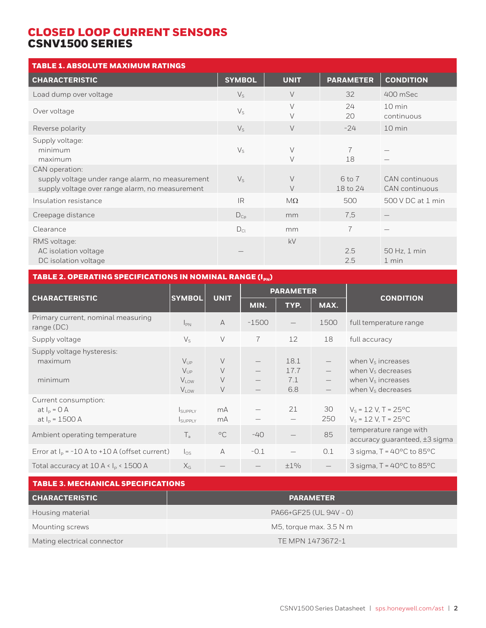| <b>TABLE 1. ABSOLUTE MAXIMUM RATINGS</b>                                                                              |               |                  |                        |                                  |
|-----------------------------------------------------------------------------------------------------------------------|---------------|------------------|------------------------|----------------------------------|
| <b>CHARACTERISTIC</b>                                                                                                 | <b>SYMBOL</b> | <b>UNIT</b>      | <b>PARAMETER</b>       | <b>CONDITION</b>                 |
| Load dump over voltage                                                                                                | $V_{S}$       | $\vee$           | 32                     | 400 mSec                         |
| Over voltage                                                                                                          | $V_{S}$       | $\vee$<br>$\vee$ | 24<br>20               | 10 min<br>continuous             |
| Reverse polarity                                                                                                      | $V_{S}$       | $\vee$           | $-24$                  | 10 min                           |
| Supply voltage:<br>minimum<br>maximum                                                                                 | $V_{S}$       | $\vee$<br>$\vee$ | 7<br>18                |                                  |
| CAN operation:<br>supply voltage under range alarm, no measurement<br>supply voltage over range alarm, no measurement | $V_{S}$       | $\vee$<br>$\vee$ | $6$ to $7$<br>18 to 24 | CAN continuous<br>CAN continuous |
| Insulation resistance                                                                                                 | <b>IR</b>     | $M\Omega$        | 500                    | 500 V DC at 1 min                |
| Creepage distance                                                                                                     | $D_{Cp}$      | mm               | 7,5                    | $\qquad \qquad -$                |
| Clearance                                                                                                             | $D_{Cl}$      | mm               | $\overline{7}$         |                                  |
| RMS voltage:<br>AC isolation voltage<br>DC isolation voltage                                                          |               | kV               | 2.5<br>2.5             | 50 Hz, 1 min<br>1 min            |

## TABLE 2. OPERATING SPECIFICATIONS IN NOMINAL RANGE  $(I_{PN})$

| <b>CHARACTERISTIC</b>                                       | <b>UNIT</b><br><b>SYMBOL</b>                            |                                 | <b>PARAMETER</b> |                            |                                        |                                                                                                            |  |
|-------------------------------------------------------------|---------------------------------------------------------|---------------------------------|------------------|----------------------------|----------------------------------------|------------------------------------------------------------------------------------------------------------|--|
|                                                             |                                                         |                                 | MIN.             | TYP.                       | MAX.                                   | <b>CONDITION</b>                                                                                           |  |
| Primary current, nominal measuring<br>range $(DC)$          | $I_{PN}$                                                | $\overline{A}$                  | $-1500$          |                            | 1500                                   | full temperature range                                                                                     |  |
| Supply voltage                                              | $V_{S}$                                                 | $\vee$                          | $\overline{7}$   | 12                         | 18                                     | full accuracy                                                                                              |  |
| Supply voltage hysteresis:<br>maximum<br>minimum            | $V_{\text{UP}}$<br>$V_{UP}$<br><b>VLOW</b><br>$V_{LOW}$ | $\vee$<br>$\vee$<br>$\vee$<br>V |                  | 18.1<br>17.7<br>7.1<br>6.8 | $\qquad \qquad -$<br>$\qquad \qquad -$ | when Vs increases<br>when V <sub>s</sub> decreases<br>when $Vs$ increases<br>when V <sub>s</sub> decreases |  |
| Current consumption:<br>at $I_p = 0$ A<br>at $I_p = 1500$ A | <b>I</b> SUPPLY<br><b>I</b> SUPPLY                      | mA<br>mA                        |                  | 21                         | 30<br>250                              | $V_s = 12 V, T = 25^{\circ}C$<br>$V_s = 12 V$ , T = 25°C                                                   |  |
| Ambient operating temperature                               | $T_a$                                                   | $^{\circ}$ C                    | $-40$            |                            | 85                                     | temperature range with<br>$accuracy$ quaranteed, $\pm 3$ sigma                                             |  |
| Error at $I_p = -10 A to +10 A$ (offset current)            | $\log$                                                  | A                               | $-0.1$           |                            | 0.1                                    | 3 sigma, $T = 40^{\circ}$ C to 85 $^{\circ}$ C                                                             |  |
| Total accuracy at $10 A < Ip < 1500 A$                      | $X_{G}$                                                 |                                 |                  | $\pm 1\%$                  |                                        | 3 sigma, $T = 40^{\circ}$ C to 85 $^{\circ}$ C                                                             |  |

| <b>TABLE 3. MECHANICAL SPECIFICATIONS</b> |                         |  |  |
|-------------------------------------------|-------------------------|--|--|
| <b>CHARACTERISTIC</b>                     | <b>PARAMETER</b>        |  |  |
| Housing material                          | PA66+GF25 (UL 94V - 0)  |  |  |
| Mounting screws                           | M5, torque max. 3.5 N m |  |  |
| Mating electrical connector               | TE MPN 1473672-1        |  |  |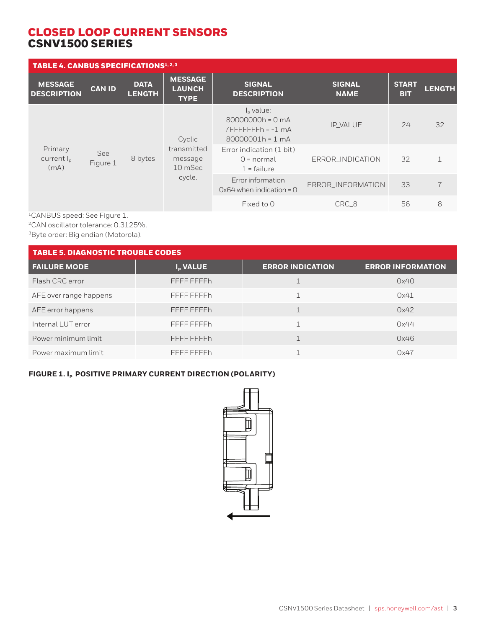| <b>TABLE 4. CANBUS SPECIFICATIONS</b> 1, 2, 3                                                                   |                                                           |                                                                                  |                                                |                                     |                              |                            |               |
|-----------------------------------------------------------------------------------------------------------------|-----------------------------------------------------------|----------------------------------------------------------------------------------|------------------------------------------------|-------------------------------------|------------------------------|----------------------------|---------------|
| <b>MESSAGE</b><br><b>DESCRIPTION</b>                                                                            | <b>CAN ID</b>                                             | <b>DATA</b><br><b>LENGTH</b>                                                     | <b>MESSAGE</b><br><b>LAUNCH</b><br><b>TYPE</b> | <b>SIGNAL</b><br><b>DESCRIPTION</b> | <b>SIGNAL</b><br><b>NAME</b> | <b>START</b><br><b>BIT</b> | <b>LENGTH</b> |
|                                                                                                                 | Cyclic                                                    | $Ip$ value:<br>80000000h = 0 mA<br>$7$ FFFFFFFFh = $-1$ mA<br>$80000001h = 1 mA$ | <b>IP_VALUE</b>                                | 24                                  | 32                           |                            |               |
| Primary<br>transmitted<br>See<br>8 bytes<br>current $I_{p}$<br>message<br>Figure 1<br>(mA)<br>10 mSec<br>cycle. | Error indication (1 bit)<br>$Q = normal$<br>$1$ = failure | ERROR_INDICATION                                                                 | 32                                             |                                     |                              |                            |               |
|                                                                                                                 |                                                           | Error information<br>$0x64$ when indication = 0                                  | ERROR_INFORMATION                              | 33                                  | $\overline{7}$               |                            |               |
|                                                                                                                 |                                                           |                                                                                  |                                                | Fixed to 0                          | CRC_8                        | 56                         | 8             |

1CANBUS speed: See Figure 1.

2CAN oscillator tolerance: 0.3125%.

3Byte order: Big endian (Motorola).

| <b>TABLE 5. DIAGNOSTIC TROUBLE CODES</b> |                      |                         |                          |  |
|------------------------------------------|----------------------|-------------------------|--------------------------|--|
| <b>FAILURE MODE</b>                      | I <sub>D</sub> VALUE | <b>ERROR INDICATION</b> | <b>ERROR INFORMATION</b> |  |
| Flash CRC error                          | FFFF FFFFh           |                         | 0x40                     |  |
| AFE over range happens                   | FFFF FFFFh           |                         | 0x41                     |  |
| AFE error happens                        | FFFF FFFFh           |                         | 0x42                     |  |
| Internal LUT error                       | FFFF FFFFh           |                         | 0x44                     |  |
| Power minimum limit                      | FFFF FFFFh           |                         | 0x46                     |  |
| Power maximum limit                      | FFFF FFFFh           |                         | 0x47                     |  |

### **FIGURE 1. I<sub>P</sub> POSITIVE PRIMARY CURRENT DIRECTION (POLARITY)**

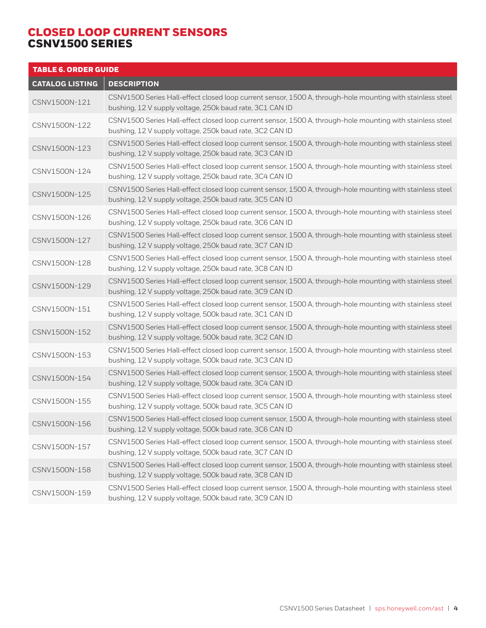| <b>TABLE 6. ORDER GUIDE</b> |                                                                                                                                                                        |
|-----------------------------|------------------------------------------------------------------------------------------------------------------------------------------------------------------------|
| <b>CATALOG LISTING</b>      | <b>DESCRIPTION</b>                                                                                                                                                     |
| CSNV1500N-121               | CSNV1500 Series Hall-effect closed loop current sensor, 1500 A, through-hole mounting with stainless steel<br>bushing, 12 V supply voltage, 250k baud rate, 3C1 CAN ID |
| CSNV1500N-122               | CSNV1500 Series Hall-effect closed loop current sensor, 1500 A, through-hole mounting with stainless steel<br>bushing, 12 V supply voltage, 250k baud rate, 3C2 CAN ID |
| CSNV1500N-123               | CSNV1500 Series Hall-effect closed loop current sensor, 1500 A, through-hole mounting with stainless steel<br>bushing, 12 V supply voltage, 250k baud rate, 3C3 CAN ID |
| CSNV1500N-124               | CSNV1500 Series Hall-effect closed loop current sensor, 1500 A, through-hole mounting with stainless steel<br>bushing, 12 V supply voltage, 250k baud rate, 3C4 CAN ID |
| CSNV1500N-125               | CSNV1500 Series Hall-effect closed loop current sensor, 1500 A, through-hole mounting with stainless steel<br>bushing, 12 V supply voltage, 250k baud rate, 3C5 CAN ID |
| CSNV1500N-126               | CSNV1500 Series Hall-effect closed loop current sensor, 1500 A, through-hole mounting with stainless steel<br>bushing, 12 V supply voltage, 250k baud rate, 3C6 CAN ID |
| CSNV1500N-127               | CSNV1500 Series Hall-effect closed loop current sensor, 1500 A, through-hole mounting with stainless steel<br>bushing, 12 V supply voltage, 250k baud rate, 3C7 CAN ID |
| CSNV1500N-128               | CSNV1500 Series Hall-effect closed loop current sensor, 1500 A, through-hole mounting with stainless steel<br>bushing, 12 V supply voltage, 250k baud rate, 3C8 CAN ID |
| CSNV1500N-129               | CSNV1500 Series Hall-effect closed loop current sensor, 1500 A, through-hole mounting with stainless steel<br>bushing, 12 V supply voltage, 250k baud rate, 3C9 CAN ID |
| CSNV1500N-151               | CSNV1500 Series Hall-effect closed loop current sensor, 1500 A, through-hole mounting with stainless steel<br>bushing, 12 V supply voltage, 500k baud rate, 3C1 CAN ID |
| CSNV1500N-152               | CSNV1500 Series Hall-effect closed loop current sensor, 1500 A, through-hole mounting with stainless steel<br>bushing, 12 V supply voltage, 500k baud rate, 3C2 CAN ID |
| CSNV1500N-153               | CSNV1500 Series Hall-effect closed loop current sensor, 1500 A, through-hole mounting with stainless steel<br>bushing, 12 V supply voltage, 500k baud rate, 3C3 CAN ID |
| CSNV1500N-154               | CSNV1500 Series Hall-effect closed loop current sensor, 1500 A, through-hole mounting with stainless steel<br>bushing, 12 V supply voltage, 500k baud rate, 3C4 CAN ID |
| CSNV1500N-155               | CSNV1500 Series Hall-effect closed loop current sensor, 1500 A, through-hole mounting with stainless steel<br>bushing, 12 V supply voltage, 500k baud rate, 3C5 CAN ID |
| CSNV1500N-156               | CSNV1500 Series Hall-effect closed loop current sensor, 1500 A, through-hole mounting with stainless steel<br>bushing, 12 V supply voltage, 500k baud rate, 3C6 CAN ID |
| CSNV1500N-157               | CSNV1500 Series Hall-effect closed loop current sensor, 1500 A, through-hole mounting with stainless steel<br>bushing, 12 V supply voltage, 500k baud rate, 3C7 CAN ID |
| CSNV1500N-158               | CSNV1500 Series Hall-effect closed loop current sensor, 1500 A, through-hole mounting with stainless steel<br>bushing, 12 V supply voltage, 500k baud rate, 3C8 CAN ID |
| CSNV1500N-159               | CSNV1500 Series Hall-effect closed loop current sensor, 1500 A, through-hole mounting with stainless steel<br>bushing, 12 V supply voltage, 500k baud rate, 3C9 CAN ID |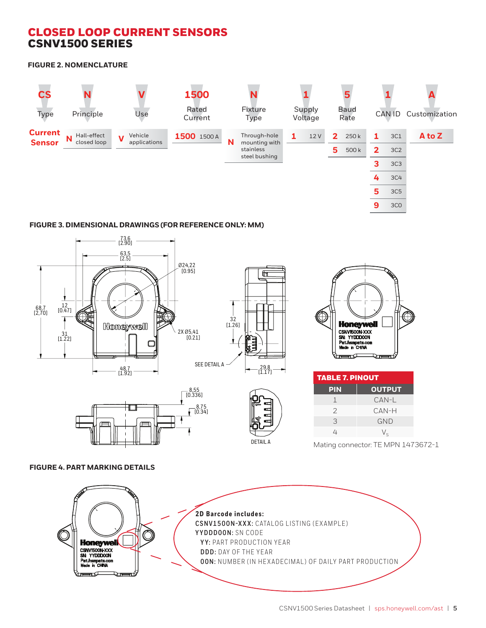**FIGURE 2. NOMENCLATURE**



#### **FIGURE 3. DIMENSIONAL DRAWINGS (FOR REFERENCE ONLY: MM)**











| <b>TABLE 7. PINOUT</b> |               |  |
|------------------------|---------------|--|
| <b>PIN</b>             | <b>OUTPUT</b> |  |
| 1                      | CAN-L         |  |
| $\mathcal{P}$          | CAN-H         |  |
| 3                      | <b>GND</b>    |  |
| 4                      | $V_{\rm c}$   |  |
|                        |               |  |

Mating connector: TE MPN 1473672-1

#### **FIGURE 4. PART MARKING DETAILS**

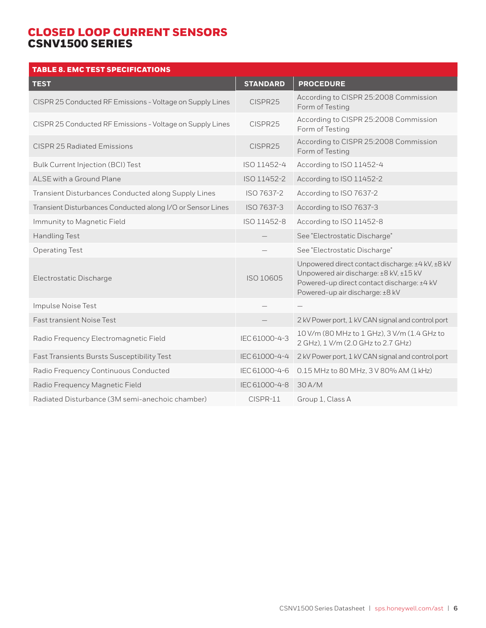| <b>TABLE 8. EMC TEST SPECIFICATIONS</b>                    |                 |                                                                                                                                                                             |
|------------------------------------------------------------|-----------------|-----------------------------------------------------------------------------------------------------------------------------------------------------------------------------|
| <b>TEST</b>                                                | <b>STANDARD</b> | <b>PROCEDURE</b>                                                                                                                                                            |
| CISPR 25 Conducted RF Emissions - Voltage on Supply Lines  | CISPR25         | According to CISPR 25:2008 Commission<br>Form of Testing                                                                                                                    |
| CISPR 25 Conducted RF Emissions - Voltage on Supply Lines  | CISPR25         | According to CISPR 25:2008 Commission<br>Form of Testing                                                                                                                    |
| CISPR 25 Radiated Emissions                                | CISPR25         | According to CISPR 25:2008 Commission<br>Form of Testing                                                                                                                    |
| Bulk Current Injection (BCI) Test                          | ISO 11452-4     | According to ISO 11452-4                                                                                                                                                    |
| ALSE with a Ground Plane                                   | ISO 11452-2     | According to ISO 11452-2                                                                                                                                                    |
| Transient Disturbances Conducted along Supply Lines        | ISO 7637-2      | According to ISO 7637-2                                                                                                                                                     |
| Transient Disturbances Conducted along I/O or Sensor Lines | ISO 7637-3      | According to ISO 7637-3                                                                                                                                                     |
| Immunity to Magnetic Field                                 | ISO 11452-8     | According to ISO 11452-8                                                                                                                                                    |
| <b>Handling Test</b>                                       |                 | See "Electrostatic Discharge"                                                                                                                                               |
| <b>Operating Test</b>                                      |                 | See "Electrostatic Discharge"                                                                                                                                               |
| Electrostatic Discharge                                    | ISO 10605       | Unpowered direct contact discharge: ±4 kV, ±8 kV<br>Unpowered air discharge: ±8 kV, ±15 kV<br>Powered-up direct contact discharge: ±4 kV<br>Powered-up air discharge: ±8 kV |
| Impulse Noise Test                                         |                 |                                                                                                                                                                             |
| <b>Fast transient Noise Test</b>                           |                 | 2 kV Power port, 1 kV CAN signal and control port                                                                                                                           |
| Radio Frequency Electromagnetic Field                      | IEC 61000-4-3   | 10 V/m (80 MHz to 1 GHz), 3 V/m (1.4 GHz to<br>2 GHz), 1 V/m (2.0 GHz to 2.7 GHz)                                                                                           |
| Fast Transients Bursts Susceptibility Test                 | IEC 61000-4-4   | 2 kV Power port, 1 kV CAN signal and control port                                                                                                                           |
| Radio Frequency Continuous Conducted                       | IEC 61000-4-6   | 0.15 MHz to 80 MHz, 3 V 80% AM (1 kHz)                                                                                                                                      |
| Radio Frequency Magnetic Field                             | IEC 61000-4-8   | 30 A/M                                                                                                                                                                      |
| Radiated Disturbance (3M semi-anechoic chamber)            | CISPR-11        | Group 1, Class A                                                                                                                                                            |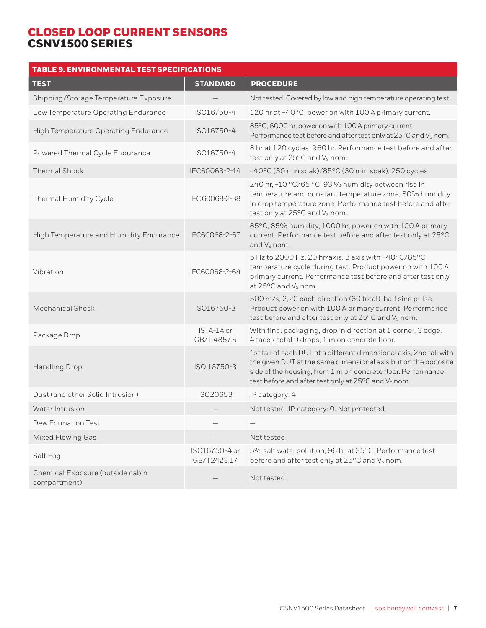| <b>TABLE 9. ENVIRONMENTAL TEST SPECIFICATIONS</b> |                              |                                                                                                                                                                                                                                                                          |
|---------------------------------------------------|------------------------------|--------------------------------------------------------------------------------------------------------------------------------------------------------------------------------------------------------------------------------------------------------------------------|
| <b>TEST</b>                                       | <b>STANDARD</b>              | <b>PROCEDURE</b>                                                                                                                                                                                                                                                         |
| Shipping/Storage Temperature Exposure             |                              | Not tested. Covered by low and high temperature operating test.                                                                                                                                                                                                          |
| Low Temperature Operating Endurance               | ISO16750-4                   | 120 hr at -40°C, power on with 100 A primary current.                                                                                                                                                                                                                    |
| High Temperature Operating Endurance              | ISO16750-4                   | 85°C, 6000 hr, power on with 100 A primary current.<br>Performance test before and after test only at 25°C and V <sub>s</sub> nom.                                                                                                                                       |
| Powered Thermal Cycle Endurance                   | ISO16750-4                   | 8 hr at 120 cycles, 960 hr. Performance test before and after<br>test only at 25°C and V <sub>s</sub> nom.                                                                                                                                                               |
| <b>Thermal Shock</b>                              | IEC60068-2-14                | -40°C (30 min soak)/85°C (30 min soak), 250 cycles                                                                                                                                                                                                                       |
| Thermal Humidity Cycle                            | IEC 60068-2-38               | 240 hr, -10 °C/65 °C, 93 % humidity between rise in<br>temperature and constant temperature zone, 80% humidity<br>in drop temperature zone. Performance test before and after<br>test only at 25°C and V <sub>s</sub> nom.                                               |
| High Temperature and Humidity Endurance           | IEC60068-2-67                | 85°C, 85% humidity, 1000 hr, power on with 100 A primary<br>current. Performance test before and after test only at 25°C<br>and $V_S$ nom.                                                                                                                               |
| Vibration                                         | IEC60068-2-64                | 5 Hz to 2000 Hz, 20 hr/axis, 3 axis with -40°C/85°C<br>temperature cycle during test. Product power on with 100 A<br>primary current. Performance test before and after test only<br>at 25°C and V <sub>s</sub> nom.                                                     |
| Mechanical Shock                                  | ISO16750-3                   | 500 m/s, 2,20 each direction (60 total), half sine pulse.<br>Product power on with 100 A primary current. Performance<br>test before and after test only at 25°C and V <sub>s</sub> nom.                                                                                 |
| Package Drop                                      | ISTA-1A or<br>GB/T 4857.5    | With final packaging, drop in direction at 1 corner, 3 edge,<br>4 face > total 9 drops, 1 m on concrete floor.                                                                                                                                                           |
| <b>Handling Drop</b>                              | ISO 16750-3                  | 1st fall of each DUT at a different dimensional axis, 2nd fall with<br>the given DUT at the same dimensional axis but on the opposite<br>side of the housing, from 1 m on concrete floor. Performance<br>test before and after test only at 25°C and V <sub>s</sub> nom. |
| Dust (and other Solid Intrusion)                  | ISO20653                     | IP category: 4                                                                                                                                                                                                                                                           |
| Water Intrusion                                   |                              | Not tested. IP category: O. Not protected.                                                                                                                                                                                                                               |
| Dew Formation Test                                |                              |                                                                                                                                                                                                                                                                          |
| <b>Mixed Flowing Gas</b>                          |                              | Not tested.                                                                                                                                                                                                                                                              |
| Salt Fog                                          | ISO16750-4 or<br>GB/T2423.17 | 5% salt water solution, 96 hr at 35°C. Performance test<br>before and after test only at 25°C and V <sub>s</sub> nom.                                                                                                                                                    |
| Chemical Exposure (outside cabin<br>compartment)  |                              | Not tested.                                                                                                                                                                                                                                                              |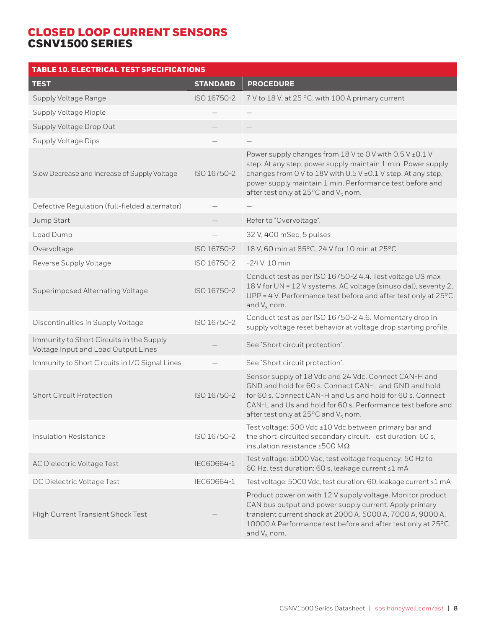| <b>TABLE 10. ELECTRICAL TEST SPECIFICATIONS</b>                                 |                 |                                                                                                                                                                                                                                                                                                          |  |
|---------------------------------------------------------------------------------|-----------------|----------------------------------------------------------------------------------------------------------------------------------------------------------------------------------------------------------------------------------------------------------------------------------------------------------|--|
| <b>TEST</b>                                                                     | <b>STANDARD</b> | <b>PROCEDURE</b>                                                                                                                                                                                                                                                                                         |  |
| Supply Voltage Range                                                            | ISO 16750-2     | 7 V to 18 V, at 25 °C, with 100 A primary current                                                                                                                                                                                                                                                        |  |
| Supply Voltage Ripple                                                           |                 |                                                                                                                                                                                                                                                                                                          |  |
| Supply Voltage Drop Out                                                         |                 |                                                                                                                                                                                                                                                                                                          |  |
| <b>Supply Voltage Dips</b>                                                      |                 |                                                                                                                                                                                                                                                                                                          |  |
| Slow Decrease and Increase of Supply Voltage                                    | ISO 16750-2     | Power supply changes from 18 V to 0 V with 0.5 V ± 0.1 V<br>step. At any step, power supply maintain 1 min. Power supply<br>changes from 0 V to 18V with 0.5 V ± 0.1 V step. At any step,<br>power supply maintain 1 min. Performance test before and<br>after test only at 25°C and V <sub>s</sub> nom. |  |
| Defective Regulation (full-fielded alternator)                                  |                 |                                                                                                                                                                                                                                                                                                          |  |
| Jump Start                                                                      |                 | Refer to "Overvoltage".                                                                                                                                                                                                                                                                                  |  |
| Load Dump                                                                       |                 | 32 V, 400 mSec, 5 pulses                                                                                                                                                                                                                                                                                 |  |
| Overvoltage                                                                     | ISO 16750-2     | 18 V, 60 min at 85°C, 24 V for 10 min at 25°C                                                                                                                                                                                                                                                            |  |
| Reverse Supply Voltage                                                          | ISO 16750-2     | $-24$ V, 10 min                                                                                                                                                                                                                                                                                          |  |
| Superimposed Alternating Voltage                                                | ISO 16750-2     | Conduct test as per ISO 16750-2 4.4. Test voltage US max<br>18 V for UN = 12 V systems, AC voltage (sinusoidal), severity 2,<br>UPP = 4 V. Performance test before and after test only at 25°C<br>and $V_s$ nom.                                                                                         |  |
| Discontinuities in Supply Voltage                                               | ISO 16750-2     | Conduct test as per ISO 16750-2 4.6. Momentary drop in<br>supply voltage reset behavior at voltage drop starting profile.                                                                                                                                                                                |  |
| Immunity to Short Circuits in the Supply<br>Voltage Input and Load Output Lines |                 | See "Short circuit protection".                                                                                                                                                                                                                                                                          |  |
| Immunity to Short Circuits in I/O Signal Lines                                  |                 | See "Short circuit protection".                                                                                                                                                                                                                                                                          |  |
| <b>Short Circuit Protection</b>                                                 | ISO 16750-2     | Sensor supply of 18 Vdc and 24 Vdc. Connect CAN-H and<br>GND and hold for 60 s. Connect CAN-L and GND and hold<br>for 60 s. Connect CAN-H and Us and hold for 60 s. Connect<br>CAN-L and Us and hold for 60 s. Performance test before and<br>after test only at $25^{\circ}$ C and V <sub>s</sub> nom.  |  |
| <b>Insulation Resistance</b>                                                    | ISO 16750-2     | Test voltage: 500 Vdc ±10 Vdc between primary bar and<br>the short-circuited secondary circuit. Test duration: 60 s,<br>insulation resistance $\geq$ 500 M $\Omega$                                                                                                                                      |  |
| AC Dielectric Voltage Test                                                      | IEC60664-1      | Test voltage: 5000 Vac, test voltage frequency: 50 Hz to<br>60 Hz, test duration: 60 s, leakage current ≤1 mA                                                                                                                                                                                            |  |
| DC Dielectric Voltage Test                                                      | IEC60664-1      | Test voltage: 5000 Vdc, test duration: 60, leakage current ≤1 mA                                                                                                                                                                                                                                         |  |
| High Current Transient Shock Test                                               |                 | Product power on with 12 V supply voltage. Monitor product<br>CAN bus output and power supply current. Apply primary<br>transient current shock at 2000 A, 5000 A, 7000 A, 9000 A,<br>10000 A Performance test before and after test only at 25°C<br>and $V_s$ nom.                                      |  |